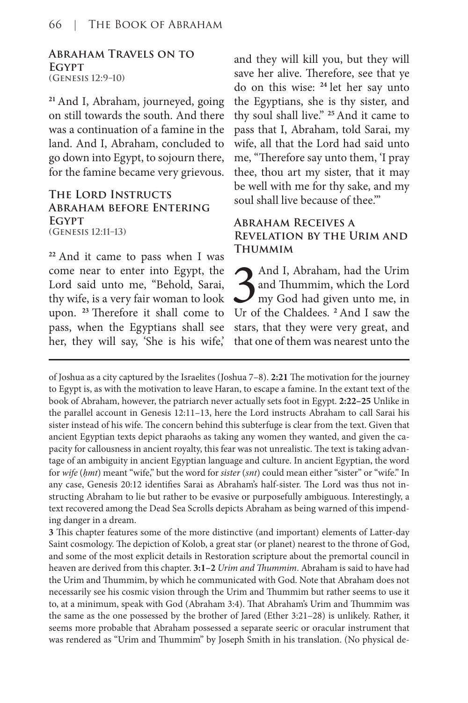#### **Abraham Travels on to Egypt (Genesis 12:9–10)**

**<sup>21</sup>**And I, Abraham, journeyed, going on still towards the south. And there was a continuation of a famine in the land. And I, Abraham, concluded to go down into Egypt, to sojourn there, for the famine became very grievous.

### **The Lord Instructs Abraham before Entering Egypt (Genesis 12:11–13)**

**<sup>22</sup>**And it came to pass when I was come near to enter into Egypt, the Lord said unto me, "Behold, Sarai, thy wife, is a very fair woman to look upon. **<sup>23</sup>**Therefore it shall come to pass, when the Egyptians shall see her, they will say, 'She is his wife,'

and they will kill you, but they will save her alive. Therefore, see that ye do on this wise: **<sup>24</sup>**let her say unto the Egyptians, she is thy sister, and thy soul shall live." **<sup>25</sup>**And it came to pass that I, Abraham, told Sarai, my wife, all that the Lord had said unto me, "Therefore say unto them, 'I pray thee, thou art my sister, that it may be well with me for thy sake, and my soul shall live because of thee.'"

### **Abraham Receives a Revelation by the Urim and Thummim**

3 And I, Abraham, had the Urim<br>3 and Thummim, which the Lord<br>3 my God had given unto me, in<br>3 Ur of the Chaldees. <sup>2</sup> And I saw the and Thummim, which the Lord my God had given unto me, in Ur of the Chaldees. **<sup>2</sup>**And I saw the stars, that they were very great, and that one of them was nearest unto the

of Joshua as a city captured by the Israelites (Joshua 7–8). **2:21** The motivation for the journey to Egypt is, as with the motivation to leave Haran, to escape a famine. In the extant text of the book of Abraham, however, the patriarch never actually sets foot in Egypt. **2:22–25** Unlike in the parallel account in Genesis 12:11–13, here the Lord instructs Abraham to call Sarai his sister instead of his wife. The concern behind this subterfuge is clear from the text. Given that ancient Egyptian texts depict pharaohs as taking any women they wanted, and given the capacity for callousness in ancient royalty, this fear was not unrealistic. The text is taking advantage of an ambiguity in ancient Egyptian language and culture. In ancient Egyptian, the word for *wife* (*ḥmt*) meant "wife," but the word for *sister* (*snt*) could mean either "sister" or "wife." In any case, Genesis 20:12 identifies Sarai as Abraham's half-sister. The Lord was thus not instructing Abraham to lie but rather to be evasive or purposefully ambiguous. Interestingly, a text recovered among the Dead Sea Scrolls depicts Abraham as being warned of this impending danger in a dream.

**3** This chapter features some of the more distinctive (and important) elements of Latter-day Saint cosmology. The depiction of Kolob, a great star (or planet) nearest to the throne of God, and some of the most explicit details in Restoration scripture about the premortal council in heaven are derived from this chapter. **3:1–2** *Urim and Thummim*. Abraham is said to have had the Urim and Thummim, by which he communicated with God. Note that Abraham does not necessarily see his cosmic vision through the Urim and Thummim but rather seems to use it to, at a minimum, speak with God (Abraham 3:4). That Abraham's Urim and Thummim was the same as the one possessed by the brother of Jared (Ether 3:21–28) is unlikely. Rather, it seems more probable that Abraham possessed a separate seeric or oracular instrument that was rendered as "Urim and Thummim" by Joseph Smith in his translation. (No physical de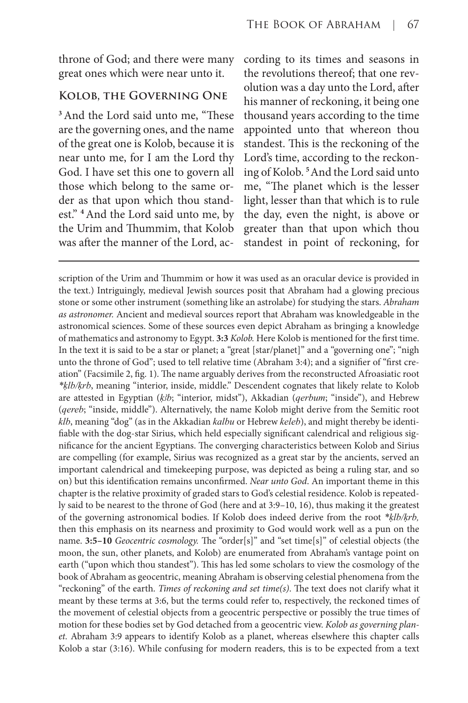throne of God; and there were many great ones which were near unto it.

### **Kolob, the Governing One**

**<sup>3</sup>**And the Lord said unto me, "These are the governing ones, and the name of the great one is Kolob, because it is near unto me, for I am the Lord thy God. I have set this one to govern all those which belong to the same order as that upon which thou standest." **<sup>4</sup>**And the Lord said unto me, by the Urim and Thummim, that Kolob was after the manner of the Lord, ac-

cording to its times and seasons in the revolutions thereof; that one revolution was a day unto the Lord, after his manner of reckoning, it being one thousand years according to the time appointed unto that whereon thou standest. This is the reckoning of the Lord's time, according to the reckoning of Kolob. **<sup>5</sup>**And the Lord said unto me, "The planet which is the lesser light, lesser than that which is to rule the day, even the night, is above or greater than that upon which thou standest in point of reckoning, for

scription of the Urim and Thummim or how it was used as an oracular device is provided in the text.) Intriguingly, medieval Jewish sources posit that Abraham had a glowing precious stone or some other instrument (something like an astrolabe) for studying the stars. *Abraham as astronomer.* Ancient and medieval sources report that Abraham was knowledgeable in the astronomical sciences. Some of these sources even depict Abraham as bringing a knowledge of mathematics and astronomy to Egypt. **3:3** *Kolob.* Here Kolob is mentioned for the first time. In the text it is said to be a star or planet; a "great [star/planet]" and a "governing one"; "nigh unto the throne of God"; used to tell relative time (Abraham 3:4); and a signifier of "first creation" (Facsimile 2, fig. 1). The name arguably derives from the reconstructed Afroasiatic root *\*ḳlb/ḳrb*, meaning "interior, inside, middle." Descendent cognates that likely relate to Kolob are attested in Egyptian (*k*b; "interior, midst"), Akkadian (*qerbum*; "inside"), and Hebrew (*qereb*; "inside, middle"). Alternatively, the name Kolob might derive from the Semitic root *klb*, meaning "dog" (as in the Akkadian *kalbu* or Hebrew *keleb*), and might thereby be identifiable with the dog-star Sirius, which held especially significant calendrical and religious significance for the ancient Egyptians. The converging characteristics between Kolob and Sirius are compelling (for example, Sirius was recognized as a great star by the ancients, served an important calendrical and timekeeping purpose, was depicted as being a ruling star, and so on) but this identification remains unconfirmed. *Near unto God*. An important theme in this chapter is the relative proximity of graded stars to God's celestial residence. Kolob is repeatedly said to be nearest to the throne of God (here and at 3:9–10, 16), thus making it the greatest of the governing astronomical bodies. If Kolob does indeed derive from the root *\*ḳlb/ḳrb,* then this emphasis on its nearness and proximity to God would work well as a pun on the name. **3:5–10** *Geocentric cosmology.* The "order[s]" and "set time[s]" of celestial objects (the moon, the sun, other planets, and Kolob) are enumerated from Abraham's vantage point on earth ("upon which thou standest"). This has led some scholars to view the cosmology of the book of Abraham as geocentric, meaning Abraham is observing celestial phenomena from the "reckoning" of the earth. *Times of reckoning and set time(s)*. The text does not clarify what it meant by these terms at 3:6, but the terms could refer to, respectively, the reckoned times of the movement of celestial objects from a geocentric perspective or possibly the true times of motion for these bodies set by God detached from a geocentric view. *Kolob as governing planet.* Abraham 3:9 appears to identify Kolob as a planet, whereas elsewhere this chapter calls Kolob a star (3:16). While confusing for modern readers, this is to be expected from a text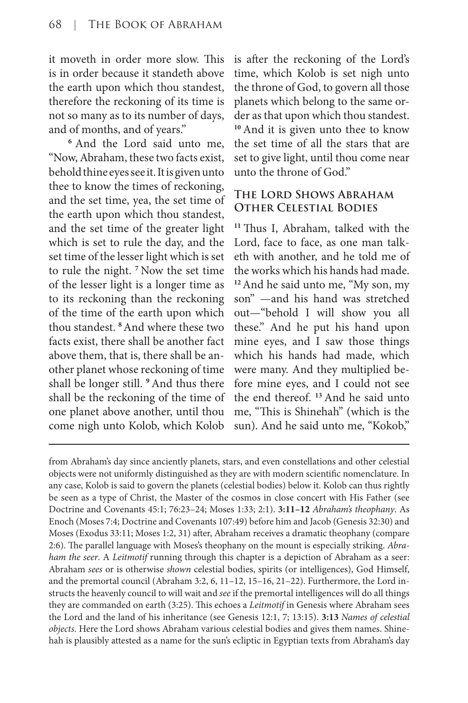it moveth in order more slow. This is in order because it standeth above the earth upon which thou standest, therefore the reckoning of its time is not so many as to its number of days, and of months, and of years."

**<sup>6</sup>**And the Lord said unto me, "Now, Abraham, these two facts exist, behold thine eyes see it. It is given unto thee to know the times of reckoning, and the set time, yea, the set time of the earth upon which thou standest, and the set time of the greater light which is set to rule the day, and the set time of the lesser light which is set to rule the night. **<sup>7</sup>**Now the set time of the lesser light is a longer time as to its reckoning than the reckoning of the time of the earth upon which thou standest. **<sup>8</sup>**And where these two facts exist, there shall be another fact above them, that is, there shall be another planet whose reckoning of time shall be longer still. **<sup>9</sup>**And thus there shall be the reckoning of the time of one planet above another, until thou come nigh unto Kolob, which Kolob

is after the reckoning of the Lord's time, which Kolob is set nigh unto the throne of God, to govern all those planets which belong to the same order as that upon which thou standest. **<sup>10</sup>**And it is given unto thee to know the set time of all the stars that are set to give light, until thou come near unto the throne of God."

# **The Lord Shows Abraham Other Celestial Bodies**

**<sup>11</sup>**Thus I, Abraham, talked with the Lord, face to face, as one man talketh with another, and he told me of the works which his hands had made. **<sup>12</sup>**And he said unto me, "My son, my son" —and his hand was stretched out—"behold I will show you all these." And he put his hand upon mine eyes, and I saw those things which his hands had made, which were many. And they multiplied before mine eyes, and I could not see the end thereof. **<sup>13</sup>**And he said unto me, "This is Shinehah" (which is the sun). And he said unto me, "Kokob,"

from Abraham's day since anciently planets, stars, and even constellations and other celestial objects were not uniformly distinguished as they are with modern scientific nomenclature. In any case, Kolob is said to govern the planets (celestial bodies) below it. Kolob can thus rightly be seen as a type of Christ, the Master of the cosmos in close concert with His Father (see Doctrine and Covenants 45:1; 76:23–24; Moses 1:33; 2:1). **3:11–12** *Abraham's theophany*. As Enoch (Moses 7:4; Doctrine and Covenants 107:49) before him and Jacob (Genesis 32:30) and Moses (Exodus 33:11; Moses 1:2, 31) after, Abraham receives a dramatic theophany (compare 2:6). The parallel language with Moses's theophany on the mount is especially striking. *Abraham the seer*. A *Leitmotif* running through this chapter is a depiction of Abraham as a seer: Abraham *sees* or is otherwise *shown* celestial bodies, spirits (or intelligences), God Himself, and the premortal council (Abraham 3:2, 6, 11–12, 15–16, 21–22). Furthermore, the Lord instructs the heavenly council to will wait and *see* if the premortal intelligences will do all things they are commanded on earth (3:25). This echoes a *Leitmotif* in Genesis where Abraham sees the Lord and the land of his inheritance (see Genesis 12:1, 7; 13:15). **3:13** *Names of celestial objects.* Here the Lord shows Abraham various celestial bodies and gives them names. Shinehah is plausibly attested as a name for the sun's ecliptic in Egyptian texts from Abraham's day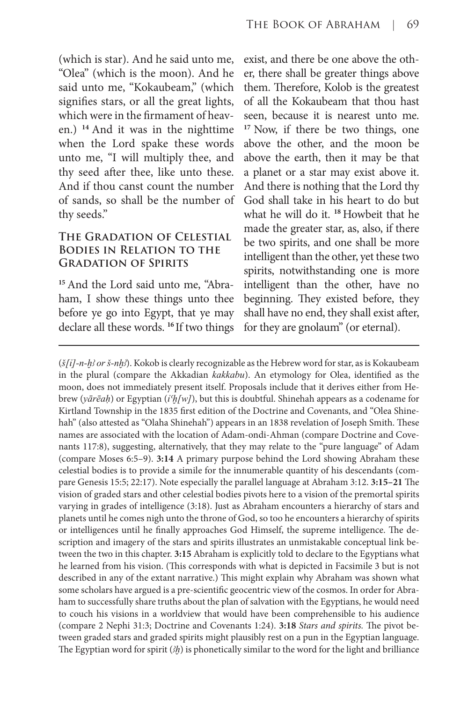(which is star). And he said unto me, "Olea" (which is the moon). And he said unto me, "Kokaubeam," (which signifies stars, or all the great lights, which were in the firmament of heaven.) **<sup>14</sup>**And it was in the nighttime when the Lord spake these words unto me, "I will multiply thee, and thy seed after thee, like unto these. And if thou canst count the number of sands, so shall be the number of thy seeds."

## **The Gradation of Celestial Bodies in Relation to the Gradation of Spirits**

**15** And the Lord said unto me, "Abraham, I show these things unto thee before ye go into Egypt, that ye may declare all these words. **<sup>16</sup>**If two things

exist, and there be one above the other, there shall be greater things above them. Therefore, Kolob is the greatest of all the Kokaubeam that thou hast seen, because it is nearest unto me. **<sup>17</sup>** Now, if there be two things, one above the other, and the moon be above the earth, then it may be that a planet or a star may exist above it. And there is nothing that the Lord thy God shall take in his heart to do but what he will do it. **<sup>18</sup>**Howbeit that he made the greater star, as, also, if there be two spirits, and one shall be more intelligent than the other, yet these two spirits, notwithstanding one is more intelligent than the other, have no beginning. They existed before, they shall have no end, they shall exist after, for they are gnolaum" (or eternal).

(*š[ỉ]-n-ḫꜢ or š-nḫꜢ*). Kokob is clearly recognizable as the Hebrew word for star, as is Kokaubeam in the plural (compare the Akkadian *kakkabu*). An etymology for Olea, identified as the moon, does not immediately present itself. Proposals include that it derives either from Hebrew (*yārēaḥ*) or Egyptian (*ỉꜤḫ[w]*), but this is doubtful. Shinehah appears as a codename for Kirtland Township in the 1835 first edition of the Doctrine and Covenants, and "Olea Shinehah" (also attested as "Olaha Shinehah") appears in an 1838 revelation of Joseph Smith. These names are associated with the location of Adam-ondi-Ahman (compare Doctrine and Covenants 117:8), suggesting, alternatively, that they may relate to the "pure language" of Adam (compare Moses 6:5–9). **3:14** A primary purpose behind the Lord showing Abraham these celestial bodies is to provide a simile for the innumerable quantity of his descendants (compare Genesis 15:5; 22:17). Note especially the parallel language at Abraham 3:12. **3:15–21** The vision of graded stars and other celestial bodies pivots here to a vision of the premortal spirits varying in grades of intelligence (3:18). Just as Abraham encounters a hierarchy of stars and planets until he comes nigh unto the throne of God, so too he encounters a hierarchy of spirits or intelligences until he finally approaches God Himself, the supreme intelligence. The description and imagery of the stars and spirits illustrates an unmistakable conceptual link between the two in this chapter. **3:15** Abraham is explicitly told to declare to the Egyptians what he learned from his vision. (This corresponds with what is depicted in Facsimile 3 but is not described in any of the extant narrative.) This might explain why Abraham was shown what some scholars have argued is a pre-scientific geocentric view of the cosmos. In order for Abraham to successfully share truths about the plan of salvation with the Egyptians, he would need to couch his visions in a worldview that would have been comprehensible to his audience (compare 2 Nephi 31:3; Doctrine and Covenants 1:24). **3:18** *Stars and spirits.* The pivot between graded stars and graded spirits might plausibly rest on a pun in the Egyptian language. The Egyptian word for spirit (*Ꜣḫ*) is phonetically similar to the word for the light and brilliance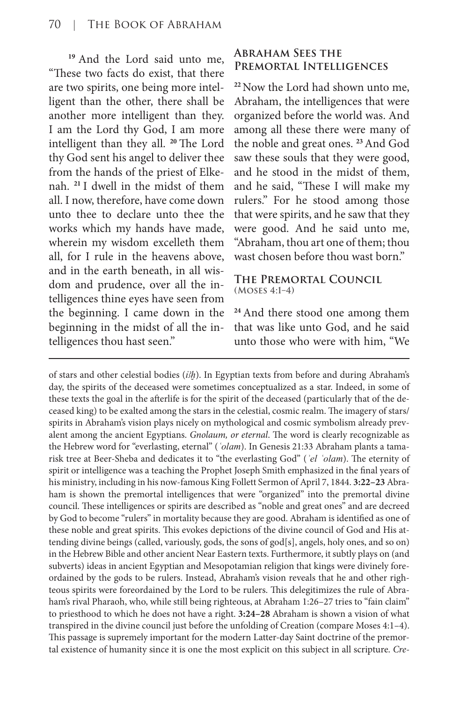**<sup>19</sup>**And the Lord said unto me, "These two facts do exist, that there are two spirits, one being more intelligent than the other, there shall be another more intelligent than they. I am the Lord thy God, I am more intelligent than they all. **<sup>20</sup>**The Lord thy God sent his angel to deliver thee from the hands of the priest of Elkenah. **<sup>21</sup>**I dwell in the midst of them all. I now, therefore, have come down unto thee to declare unto thee the works which my hands have made, wherein my wisdom excelleth them all, for I rule in the heavens above, and in the earth beneath, in all wisdom and prudence, over all the intelligences thine eyes have seen from the beginning. I came down in the beginning in the midst of all the intelligences thou hast seen."

# **Abraham Sees the Premortal Intelligences**

**<sup>22</sup>**Now the Lord had shown unto me, Abraham, the intelligences that were organized before the world was. And among all these there were many of the noble and great ones. **<sup>23</sup>**And God saw these souls that they were good, and he stood in the midst of them, and he said, "These I will make my rulers." For he stood among those that were spirits, and he saw that they were good. And he said unto me, "Abraham, thou art one of them; thou wast chosen before thou wast born."

#### **The Premortal Council (Moses 4:1–4)**

**<sup>24</sup>**And there stood one among them that was like unto God, and he said unto those who were with him, "We

of stars and other celestial bodies (*ỉꜢḫ*). In Egyptian texts from before and during Abraham's day, the spirits of the deceased were sometimes conceptualized as a star. Indeed, in some of these texts the goal in the afterlife is for the spirit of the deceased (particularly that of the deceased king) to be exalted among the stars in the celestial, cosmic realm. The imagery of stars/ spirits in Abraham's vision plays nicely on mythological and cosmic symbolism already prevalent among the ancient Egyptians. *Gnolaum, or eternal*. The word is clearly recognizable as the Hebrew word for "everlasting, eternal" (*ʿolam*). In Genesis 21:33 Abraham plants a tamarisk tree at Beer-Sheba and dedicates it to "the everlasting God" (*ʾel ʿolam*). The eternity of spirit or intelligence was a teaching the Prophet Joseph Smith emphasized in the final years of his ministry, including in his now-famous King Follett Sermon of April 7, 1844. **3:22–23** Abraham is shown the premortal intelligences that were "organized" into the premortal divine council. These intelligences or spirits are described as "noble and great ones" and are decreed by God to become "rulers" in mortality because they are good. Abraham is identified as one of these noble and great spirits. This evokes depictions of the divine council of God and His attending divine beings (called, variously, gods, the sons of god[s], angels, holy ones, and so on) in the Hebrew Bible and other ancient Near Eastern texts. Furthermore, it subtly plays on (and subverts) ideas in ancient Egyptian and Mesopotamian religion that kings were divinely foreordained by the gods to be rulers. Instead, Abraham's vision reveals that he and other righteous spirits were foreordained by the Lord to be rulers. This delegitimizes the rule of Abraham's rival Pharaoh, who, while still being righteous, at Abraham 1:26-27 tries to "fain claim" to priesthood to which he does not have a right. **3:24–28** Abraham is shown a vision of what transpired in the divine council just before the unfolding of Creation (compare Moses 4:1–4). This passage is supremely important for the modern Latter-day Saint doctrine of the premortal existence of humanity since it is one the most explicit on this subject in all scripture. *Cre-*